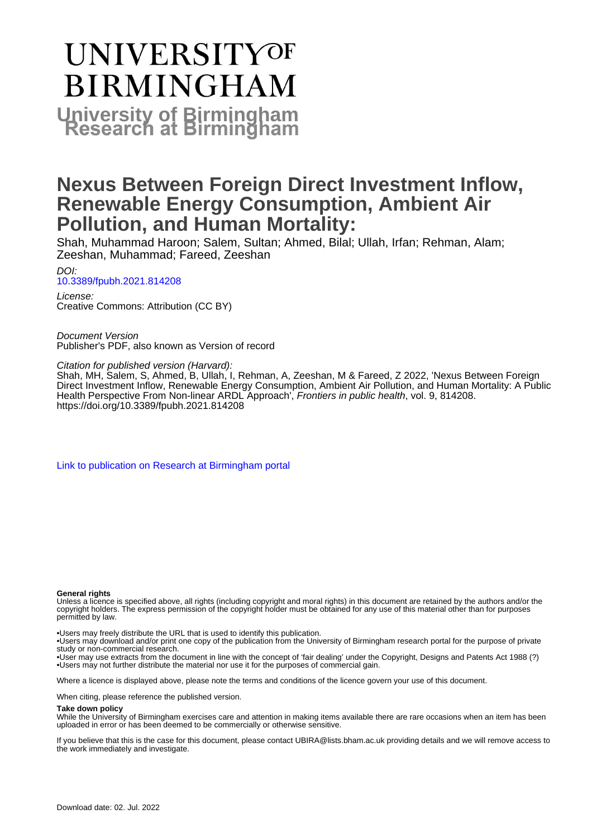# **UNIVERSITYOF BIRMINGHAM University of Birmingham**

## **Nexus Between Foreign Direct Investment Inflow, Renewable Energy Consumption, Ambient Air Pollution, and Human Mortality:**

Shah, Muhammad Haroon; Salem, Sultan; Ahmed, Bilal; Ullah, Irfan; Rehman, Alam; Zeeshan, Muhammad; Fareed, Zeeshan

DOI: [10.3389/fpubh.2021.814208](https://doi.org/10.3389/fpubh.2021.814208)

License: Creative Commons: Attribution (CC BY)

Document Version Publisher's PDF, also known as Version of record

Citation for published version (Harvard):

Shah, MH, Salem, S, Ahmed, B, Ullah, I, Rehman, A, Zeeshan, M & Fareed, Z 2022, 'Nexus Between Foreign Direct Investment Inflow, Renewable Energy Consumption, Ambient Air Pollution, and Human Mortality: A Public Health Perspective From Non-linear ARDL Approach', Frontiers in public health, vol. 9, 814208. <https://doi.org/10.3389/fpubh.2021.814208>

[Link to publication on Research at Birmingham portal](https://birmingham.elsevierpure.com/en/publications/401fa6fe-f56e-4a60-87a0-cbf1bee43e74)

#### **General rights**

Unless a licence is specified above, all rights (including copyright and moral rights) in this document are retained by the authors and/or the copyright holders. The express permission of the copyright holder must be obtained for any use of this material other than for purposes permitted by law.

• Users may freely distribute the URL that is used to identify this publication.

• Users may download and/or print one copy of the publication from the University of Birmingham research portal for the purpose of private study or non-commercial research.

• User may use extracts from the document in line with the concept of 'fair dealing' under the Copyright, Designs and Patents Act 1988 (?) • Users may not further distribute the material nor use it for the purposes of commercial gain.

Where a licence is displayed above, please note the terms and conditions of the licence govern your use of this document.

When citing, please reference the published version.

#### **Take down policy**

While the University of Birmingham exercises care and attention in making items available there are rare occasions when an item has been uploaded in error or has been deemed to be commercially or otherwise sensitive.

If you believe that this is the case for this document, please contact UBIRA@lists.bham.ac.uk providing details and we will remove access to the work immediately and investigate.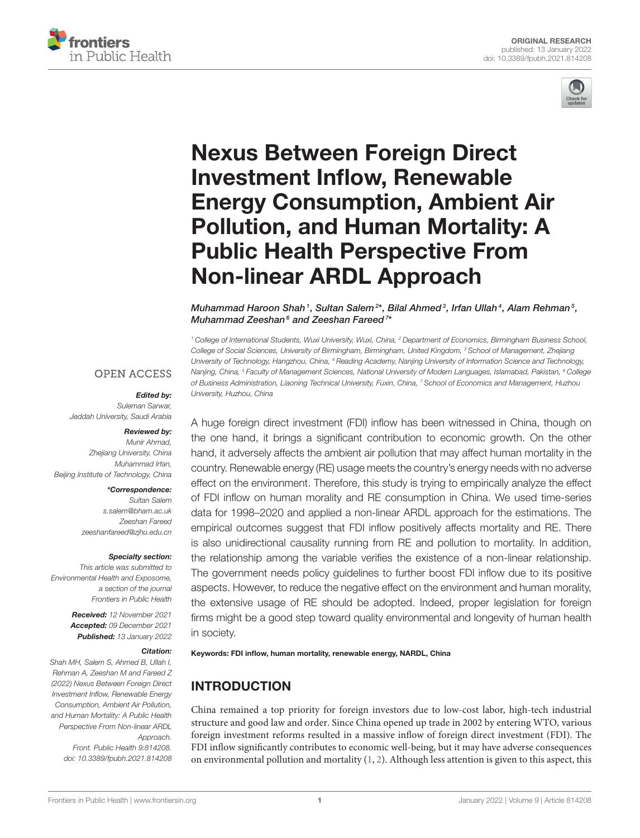



## Nexus Between Foreign Direct Investment Inflow, Renewable [Energy Consumption, Ambient Air](https://www.frontiersin.org/articles/10.3389/fpubh.2021.814208/full) Pollution, and Human Mortality: A Public Health Perspective From Non-linear ARDL Approach

Muhammad Haroon Shah1, Sultan Salem<sup>2\*</sup>, Bilal Ahmed<sup>3</sup>, Irfan Ullah<sup>4</sup>, Alam Rehman<sup>5</sup>, Muhammad Zeeshan<sup>6</sup> and Zeeshan Fareed<sup>7\*</sup>

*<sup>1</sup> College of International Students, Wuxi University, Wuxi, China, <sup>2</sup> Department of Economics, Birmingham Business School, College of Social Sciences, University of Birmingham, Birmingham, United Kingdom, <sup>3</sup> School of Management, Zhejiang University of Technology, Hangzhou, China, <sup>4</sup> Reading Academy, Nanjing University of Information Science and Technology, Nanjing, China, <sup>5</sup> Faculty of Management Sciences, National University of Modern Languages, Islamabad, Pakistan, <sup>6</sup> College of Business Administration, Liaoning Technical University, Fuxin, China, <sup>7</sup> School of Economics and Management, Huzhou University, Huzhou, China*

## **OPEN ACCESS**

#### Edited by:

*Suleman Sarwar, Jeddah University, Saudi Arabia*

#### Reviewed by:

*Munir Ahmad, Zhejiang University, China Muhammad Irfan, Beijing Institute of Technology, China*

#### \*Correspondence:

*Sultan Salem [s.salem@bham.ac.uk](mailto:s.salem@bham.ac.uk) Zeeshan Fareed [zeeshanfareed@zjhu.edu.cn](mailto:zeeshanfareed@zjhu.edu.cn)*

#### Specialty section:

*This article was submitted to Environmental Health and Exposome, a section of the journal Frontiers in Public Health*

> Received: *12 November 2021* Accepted: *09 December 2021* Published: *13 January 2022*

#### Citation:

*Shah MH, Salem S, Ahmed B, Ullah I, Rehman A, Zeeshan M and Fareed Z (2022) Nexus Between Foreign Direct Investment Inflow, Renewable Energy Consumption, Ambient Air Pollution, and Human Mortality: A Public Health Perspective From Non-linear ARDL Approach. Front. Public Health 9:814208. doi: [10.3389/fpubh.2021.814208](https://doi.org/10.3389/fpubh.2021.814208)* A huge foreign direct investment (FDI) inflow has been witnessed in China, though on the one hand, it brings a significant contribution to economic growth. On the other hand, it adversely affects the ambient air pollution that may affect human mortality in the country. Renewable energy (RE) usage meets the country's energy needs with no adverse effect on the environment. Therefore, this study is trying to empirically analyze the effect of FDI inflow on human morality and RE consumption in China. We used time-series data for 1998–2020 and applied a non-linear ARDL approach for the estimations. The empirical outcomes suggest that FDI inflow positively affects mortality and RE. There is also unidirectional causality running from RE and pollution to mortality. In addition, the relationship among the variable verifies the existence of a non-linear relationship. The government needs policy guidelines to further boost FDI inflow due to its positive aspects. However, to reduce the negative effect on the environment and human morality, the extensive usage of RE should be adopted. Indeed, proper legislation for foreign firms might be a good step toward quality environmental and longevity of human health in society.

#### Keywords: FDI inflow, human mortality, renewable energy, NARDL, China

## INTRODUCTION

China remained a top priority for foreign investors due to low-cost labor, high-tech industrial structure and good law and order. Since China opened up trade in 2002 by entering WTO, various foreign investment reforms resulted in a massive inflow of foreign direct investment (FDI). The FDI inflow significantly contributes to economic well-being, but it may have adverse consequences on environmental pollution and mortality  $(1, 2)$  $(1, 2)$ . Although less attention is given to this aspect, this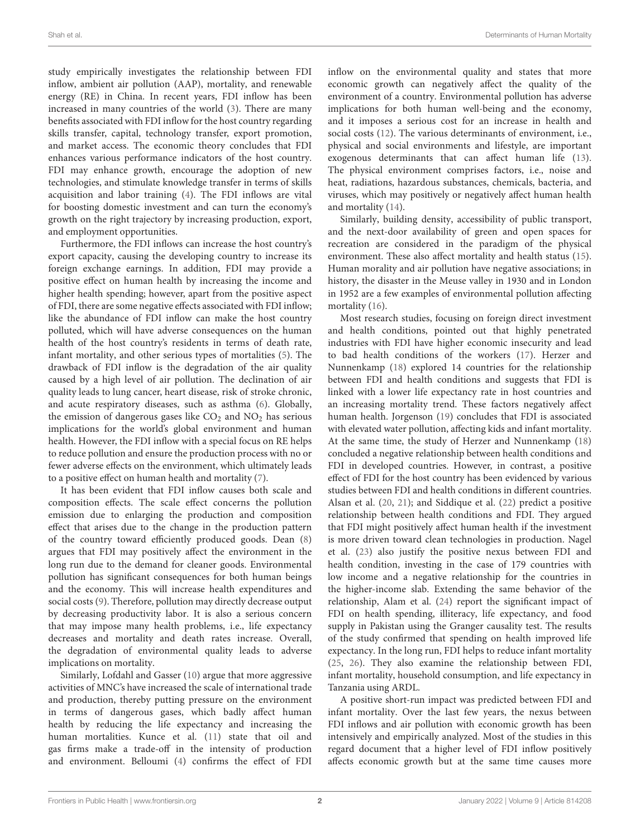study empirically investigates the relationship between FDI inflow, ambient air pollution (AAP), mortality, and renewable energy (RE) in China. In recent years, FDI inflow has been increased in many countries of the world [\(3\)](#page-8-2). There are many benefits associated with FDI inflow for the host country regarding skills transfer, capital, technology transfer, export promotion, and market access. The economic theory concludes that FDI enhances various performance indicators of the host country. FDI may enhance growth, encourage the adoption of new technologies, and stimulate knowledge transfer in terms of skills acquisition and labor training [\(4\)](#page-8-3). The FDI inflows are vital for boosting domestic investment and can turn the economy's growth on the right trajectory by increasing production, export, and employment opportunities.

Furthermore, the FDI inflows can increase the host country's export capacity, causing the developing country to increase its foreign exchange earnings. In addition, FDI may provide a positive effect on human health by increasing the income and higher health spending; however, apart from the positive aspect of FDI, there are some negative effects associated with FDI inflow; like the abundance of FDI inflow can make the host country polluted, which will have adverse consequences on the human health of the host country's residents in terms of death rate, infant mortality, and other serious types of mortalities [\(5\)](#page-8-4). The drawback of FDI inflow is the degradation of the air quality caused by a high level of air pollution. The declination of air quality leads to lung cancer, heart disease, risk of stroke chronic, and acute respiratory diseases, such as asthma [\(6\)](#page-8-5). Globally, the emission of dangerous gases like  $CO<sub>2</sub>$  and  $NO<sub>2</sub>$  has serious implications for the world's global environment and human health. However, the FDI inflow with a special focus on RE helps to reduce pollution and ensure the production process with no or fewer adverse effects on the environment, which ultimately leads to a positive effect on human health and mortality [\(7\)](#page-8-6).

It has been evident that FDI inflow causes both scale and composition effects. The scale effect concerns the pollution emission due to enlarging the production and composition effect that arises due to the change in the production pattern of the country toward efficiently produced goods. Dean [\(8\)](#page-8-7) argues that FDI may positively affect the environment in the long run due to the demand for cleaner goods. Environmental pollution has significant consequences for both human beings and the economy. This will increase health expenditures and social costs [\(9\)](#page-8-8). Therefore, pollution may directly decrease output by decreasing productivity labor. It is also a serious concern that may impose many health problems, i.e., life expectancy decreases and mortality and death rates increase. Overall, the degradation of environmental quality leads to adverse implications on mortality.

Similarly, Lofdahl and Gasser [\(10\)](#page-8-9) argue that more aggressive activities of MNC's have increased the scale of international trade and production, thereby putting pressure on the environment in terms of dangerous gases, which badly affect human health by reducing the life expectancy and increasing the human mortalities. Kunce et al. [\(11\)](#page-8-10) state that oil and gas firms make a trade-off in the intensity of production and environment. Belloumi [\(4\)](#page-8-3) confirms the effect of FDI

inflow on the environmental quality and states that more economic growth can negatively affect the quality of the environment of a country. Environmental pollution has adverse implications for both human well-being and the economy, and it imposes a serious cost for an increase in health and social costs [\(12\)](#page-8-11). The various determinants of environment, i.e., physical and social environments and lifestyle, are important exogenous determinants that can affect human life [\(13\)](#page-8-12). The physical environment comprises factors, i.e., noise and heat, radiations, hazardous substances, chemicals, bacteria, and viruses, which may positively or negatively affect human health and mortality [\(14\)](#page-8-13).

Similarly, building density, accessibility of public transport, and the next-door availability of green and open spaces for recreation are considered in the paradigm of the physical environment. These also affect mortality and health status [\(15\)](#page-8-14). Human morality and air pollution have negative associations; in history, the disaster in the Meuse valley in 1930 and in London in 1952 are a few examples of environmental pollution affecting mortality [\(16\)](#page-8-15).

Most research studies, focusing on foreign direct investment and health conditions, pointed out that highly penetrated industries with FDI have higher economic insecurity and lead to bad health conditions of the workers [\(17\)](#page-8-16). Herzer and Nunnenkamp [\(18\)](#page-8-17) explored 14 countries for the relationship between FDI and health conditions and suggests that FDI is linked with a lower life expectancy rate in host countries and an increasing mortality trend. These factors negatively affect human health. Jorgenson [\(19\)](#page-8-18) concludes that FDI is associated with elevated water pollution, affecting kids and infant mortality. At the same time, the study of Herzer and Nunnenkamp [\(18\)](#page-8-17) concluded a negative relationship between health conditions and FDI in developed countries. However, in contrast, a positive effect of FDI for the host country has been evidenced by various studies between FDI and health conditions in different countries. Alsan et al. [\(20,](#page-8-19) [21\)](#page-8-20); and Siddique et al. [\(22\)](#page-8-21) predict a positive relationship between health conditions and FDI. They argued that FDI might positively affect human health if the investment is more driven toward clean technologies in production. Nagel et al. [\(23\)](#page-8-22) also justify the positive nexus between FDI and health condition, investing in the case of 179 countries with low income and a negative relationship for the countries in the higher-income slab. Extending the same behavior of the relationship, Alam et al. [\(24\)](#page-8-23) report the significant impact of FDI on health spending, illiteracy, life expectancy, and food supply in Pakistan using the Granger causality test. The results of the study confirmed that spending on health improved life expectancy. In the long run, FDI helps to reduce infant mortality [\(25,](#page-8-24) [26\)](#page-8-25). They also examine the relationship between FDI, infant mortality, household consumption, and life expectancy in Tanzania using ARDL.

A positive short-run impact was predicted between FDI and infant mortality. Over the last few years, the nexus between FDI inflows and air pollution with economic growth has been intensively and empirically analyzed. Most of the studies in this regard document that a higher level of FDI inflow positively affects economic growth but at the same time causes more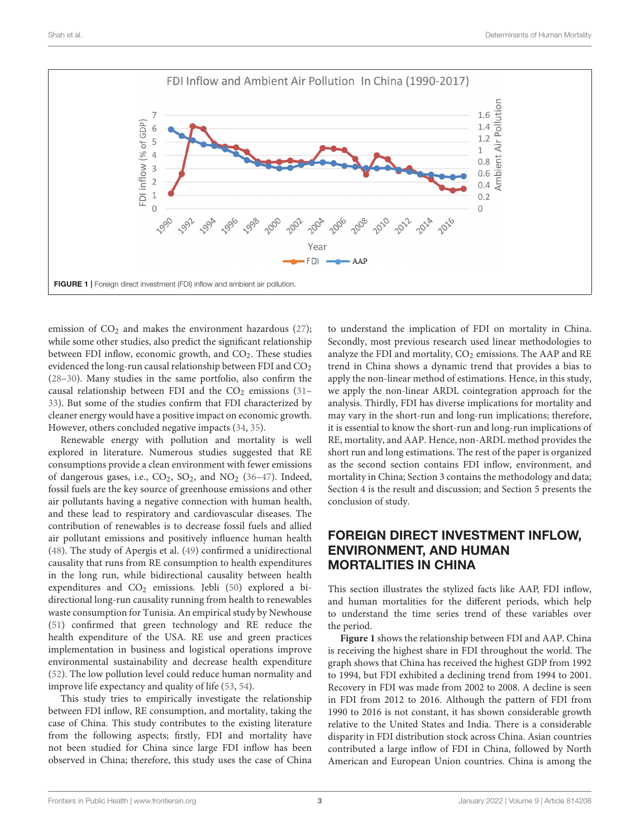

<span id="page-3-0"></span>emission of  $CO<sub>2</sub>$  and makes the environment hazardous [\(27\)](#page-8-26); while some other studies, also predict the significant relationship between FDI inflow, economic growth, and  $CO<sub>2</sub>$ . These studies evidenced the long-run causal relationship between FDI and CO<sub>2</sub> [\(28](#page-8-27)[–30\)](#page-8-28). Many studies in the same portfolio, also confirm the causal relationship between FDI and the  $CO<sub>2</sub>$  emissions [\(31–](#page-9-0) [33\)](#page-9-1). But some of the studies confirm that FDI characterized by cleaner energy would have a positive impact on economic growth. However, others concluded negative impacts [\(34,](#page-9-2) [35\)](#page-9-3).

Renewable energy with pollution and mortality is well explored in literature. Numerous studies suggested that RE consumptions provide a clean environment with fewer emissions of dangerous gases, i.e.,  $CO_2$ ,  $SO_2$ , and  $NO_2$  [\(36](#page-9-4)-47). Indeed, fossil fuels are the key source of greenhouse emissions and other air pollutants having a negative connection with human health, and these lead to respiratory and cardiovascular diseases. The contribution of renewables is to decrease fossil fuels and allied air pollutant emissions and positively influence human health [\(48\)](#page-9-6). The study of Apergis et al. [\(49\)](#page-9-7) confirmed a unidirectional causality that runs from RE consumption to health expenditures in the long run, while bidirectional causality between health expenditures and  $CO<sub>2</sub>$  emissions. Jebli [\(50\)](#page-9-8) explored a bidirectional long-run causality running from health to renewables waste consumption for Tunisia. An empirical study by Newhouse [\(51\)](#page-9-9) confirmed that green technology and RE reduce the health expenditure of the USA. RE use and green practices implementation in business and logistical operations improve environmental sustainability and decrease health expenditure [\(52\)](#page-9-10). The low pollution level could reduce human normality and improve life expectancy and quality of life [\(53,](#page-9-11) [54\)](#page-9-12).

This study tries to empirically investigate the relationship between FDI inflow, RE consumption, and mortality, taking the case of China. This study contributes to the existing literature from the following aspects; firstly, FDI and mortality have not been studied for China since large FDI inflow has been observed in China; therefore, this study uses the case of China to understand the implication of FDI on mortality in China. Secondly, most previous research used linear methodologies to analyze the FDI and mortality,  $CO<sub>2</sub>$  emissions. The AAP and RE trend in China shows a dynamic trend that provides a bias to apply the non-linear method of estimations. Hence, in this study, we apply the non-linear ARDL cointegration approach for the analysis. Thirdly, FDI has diverse implications for mortality and may vary in the short-run and long-run implications; therefore, it is essential to know the short-run and long-run implications of RE, mortality, and AAP. Hence, non-ARDL method provides the short run and long estimations. The rest of the paper is organized as the second section contains FDI inflow, environment, and mortality in China; Section 3 contains the methodology and data; Section 4 is the result and discussion; and Section 5 presents the conclusion of study.

## FOREIGN DIRECT INVESTMENT INFLOW, ENVIRONMENT, AND HUMAN MORTALITIES IN CHINA

This section illustrates the stylized facts like AAP, FDI inflow, and human mortalities for the different periods, which help to understand the time series trend of these variables over the period.

**[Figure 1](#page-3-0)** shows the relationship between FDI and AAP. China is receiving the highest share in FDI throughout the world. The graph shows that China has received the highest GDP from 1992 to 1994, but FDI exhibited a declining trend from 1994 to 2001. Recovery in FDI was made from 2002 to 2008. A decline is seen in FDI from 2012 to 2016. Although the pattern of FDI from 1990 to 2016 is not constant, it has shown considerable growth relative to the United States and India. There is a considerable disparity in FDI distribution stock across China. Asian countries contributed a large inflow of FDI in China, followed by North American and European Union countries. China is among the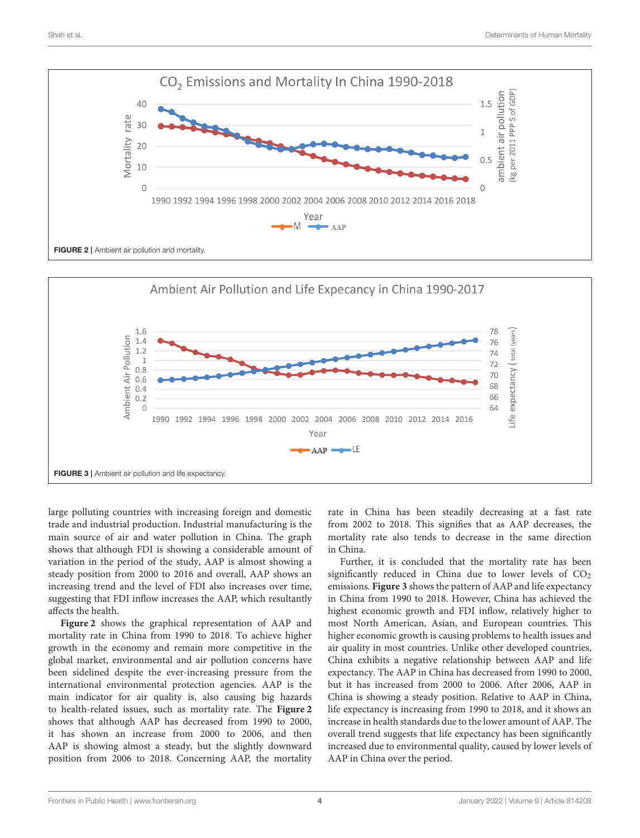

<span id="page-4-0"></span>

<span id="page-4-1"></span>large polluting countries with increasing foreign and domestic trade and industrial production. Industrial manufacturing is the main source of air and water pollution in China. The graph shows that although FDI is showing a considerable amount of variation in the period of the study, AAP is almost showing a steady position from 2000 to 2016 and overall, AAP shows an increasing trend and the level of FDI also increases over time, suggesting that FDI inflow increases the AAP, which resultantly affects the health.

**[Figure 2](#page-4-0)** shows the graphical representation of AAP and mortality rate in China from 1990 to 2018. To achieve higher growth in the economy and remain more competitive in the global market, environmental and air pollution concerns have been sidelined despite the ever-increasing pressure from the international environmental protection agencies. AAP is the main indicator for air quality is, also causing big hazards to health-related issues, such as mortality rate. The **[Figure 2](#page-4-0)** shows that although AAP has decreased from 1990 to 2000, it has shown an increase from 2000 to 2006, and then AAP is showing almost a steady, but the slightly downward position from 2006 to 2018. Concerning AAP, the mortality rate in China has been steadily decreasing at a fast rate from 2002 to 2018. This signifies that as AAP decreases, the mortality rate also tends to decrease in the same direction in China.

Further, it is concluded that the mortality rate has been significantly reduced in China due to lower levels of  $CO<sub>2</sub>$ emissions. **[Figure 3](#page-4-1)** shows the pattern of AAP and life expectancy in China from 1990 to 2018. However, China has achieved the highest economic growth and FDI inflow, relatively higher to most North American, Asian, and European countries. This higher economic growth is causing problems to health issues and air quality in most countries. Unlike other developed countries, China exhibits a negative relationship between AAP and life expectancy. The AAP in China has decreased from 1990 to 2000, but it has increased from 2000 to 2006. After 2006, AAP in China is showing a steady position. Relative to AAP in China, life expectancy is increasing from 1990 to 2018, and it shows an increase in health standards due to the lower amount of AAP. The overall trend suggests that life expectancy has been significantly increased due to environmental quality, caused by lower levels of AAP in China over the period.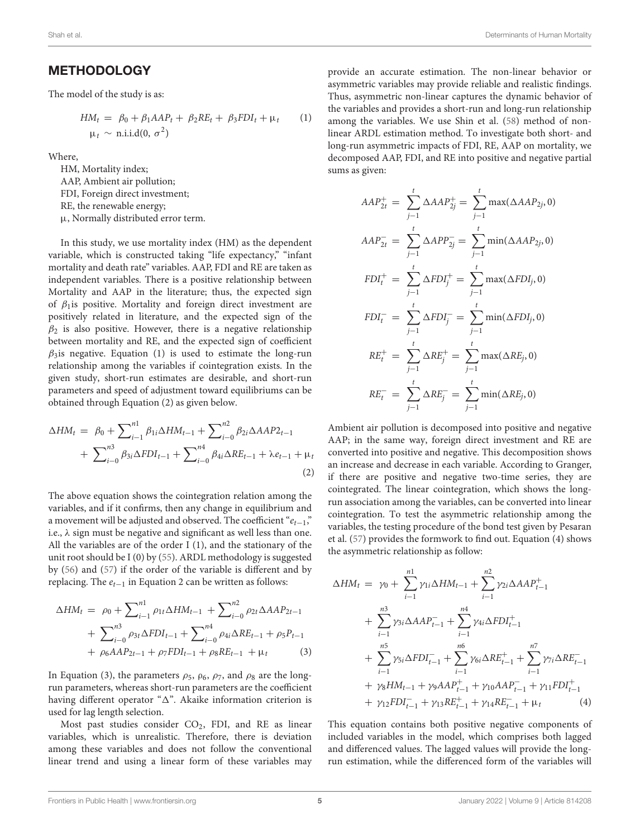## METHODOLOGY

The model of the study is as:

$$
HM_t = \beta_0 + \beta_1 AAP_t + \beta_2 RE_t + \beta_3 FDI_t + \mu_t \qquad (1)
$$
  

$$
\mu_t \sim \text{ni.i.d}(0, \sigma^2)
$$

Where,

HM, Mortality index; AAP, Ambient air pollution; FDI, Foreign direct investment; RE, the renewable energy; µ, Normally distributed error term.

In this study, we use mortality index (HM) as the dependent variable, which is constructed taking "life expectancy," "infant mortality and death rate" variables. AAP, FDI and RE are taken as independent variables. There is a positive relationship between Mortality and AAP in the literature; thus, the expected sign of  $\beta_1$  is positive. Mortality and foreign direct investment are positively related in literature, and the expected sign of the  $\beta_2$  is also positive. However, there is a negative relationship between mortality and RE, and the expected sign of coefficient  $\beta_3$ is negative. Equation (1) is used to estimate the long-run relationship among the variables if cointegration exists. In the given study, short-run estimates are desirable, and short-run parameters and speed of adjustment toward equilibriums can be obtained through Equation (2) as given below.

$$
\Delta HM_t = \beta_0 + \sum_{i=1}^{n1} \beta_{1i} \Delta HM_{t-1} + \sum_{i=0}^{n2} \beta_{2i} \Delta AAP_{t-1} + \sum_{i=0}^{n3} \beta_{3i} \Delta FDI_{t-1} + \sum_{i=0}^{n4} \beta_{4i} \Delta RE_{t-1} + \lambda e_{t-1} + \mu_t
$$
\n(2)

The above equation shows the cointegration relation among the variables, and if it confirms, then any change in equilibrium and a movement will be adjusted and observed. The coefficient " $e_{t-1}$ ", i.e.,  $\lambda$  sign must be negative and significant as well less than one. All the variables are of the order I (1), and the stationary of the unit root should be I (0) by [\(55\)](#page-9-13). ARDL methodology is suggested by [\(56\)](#page-9-14) and [\(57\)](#page-9-15) if the order of the variable is different and by replacing. The  $e_{t-1}$  in Equation 2 can be written as follows:

$$
\Delta HM_t = \rho_0 + \sum_{i=1}^{n1} \rho_{1t} \Delta HM_{t-1} + \sum_{i=0}^{n2} \rho_{2t} \Delta AAP_{2t-1} + \sum_{i=0}^{n3} \rho_{3t} \Delta FDI_{t-1} + \sum_{i=0}^{n4} \rho_{4i} \Delta RE_{t-1} + \rho_5 P_{t-1} + \rho_6 AAP_{2t-1} + \rho_7 FDI_{t-1} + \rho_8 RE_{t-1} + \mu_t
$$
 (3)

In Equation (3), the parameters  $\rho_5$ ,  $\rho_6$ ,  $\rho_7$ , and  $\rho_8$  are the longrun parameters, whereas short-run parameters are the coefficient having different operator " $\Delta$ ". Akaike information criterion is used for lag length selection.

Most past studies consider  $CO<sub>2</sub>$ , FDI, and RE as linear variables, which is unrealistic. Therefore, there is deviation among these variables and does not follow the conventional linear trend and using a linear form of these variables may

provide an accurate estimation. The non-linear behavior or asymmetric variables may provide reliable and realistic findings. Thus, asymmetric non-linear captures the dynamic behavior of the variables and provides a short-run and long-run relationship among the variables. We use Shin et al. [\(58\)](#page-9-16) method of nonlinear ARDL estimation method. To investigate both short- and long-run asymmetric impacts of FDI, RE, AAP on mortality, we decomposed AAP, FDI, and RE into positive and negative partial sums as given:

$$
AAP_{2t}^{+} = \sum_{j-1}^{t} \Delta AAP_{2j}^{+} = \sum_{j-1}^{t} \max(\Delta AAP_{2j}, 0)
$$
  
\n
$$
AAP_{2t}^{-} = \sum_{j-1}^{t} \Delta APP_{2j}^{-} = \sum_{j-1}^{t} \min(\Delta AAP_{2j}, 0)
$$
  
\n
$$
FDI_{t}^{+} = \sum_{j-1}^{t} \Delta FDI_{j}^{+} = \sum_{j-1}^{t} \max(\Delta FDI_{j}, 0)
$$
  
\n
$$
FDI_{t}^{-} = \sum_{j-1}^{t} \Delta FDI_{j}^{-} = \sum_{j-1}^{t} \min(\Delta FDI_{j}, 0)
$$
  
\n
$$
RE_{t}^{+} = \sum_{j-1}^{t} \Delta RE_{j}^{+} = \sum_{j-1}^{t} \max(\Delta RE_{j}, 0)
$$
  
\n
$$
RE_{t}^{-} = \sum_{j-1}^{t} \Delta RE_{j}^{-} = \sum_{j-1}^{t} \min(\Delta RE_{j}, 0)
$$

Ambient air pollution is decomposed into positive and negative AAP; in the same way, foreign direct investment and RE are converted into positive and negative. This decomposition shows an increase and decrease in each variable. According to Granger, if there are positive and negative two-time series, they are cointegrated. The linear cointegration, which shows the longrun association among the variables, can be converted into linear cointegration. To test the asymmetric relationship among the variables, the testing procedure of the bond test given by Pesaran et al. [\(57\)](#page-9-15) provides the formwork to find out. Equation (4) shows the asymmetric relationship as follow:

$$
\Delta HM_{t} = \gamma_{0} + \sum_{i=1}^{n1} \gamma_{1i} \Delta HM_{t-1} + \sum_{i=1}^{n2} \gamma_{2i} \Delta AAP_{t-1}^{+}
$$
  
+ 
$$
\sum_{i=1}^{n3} \gamma_{3i} \Delta AAP_{t-1}^{-} + \sum_{i=1}^{n4} \gamma_{4i} \Delta FDI_{t-1}^{+}
$$
  
+ 
$$
\sum_{i=1}^{n5} \gamma_{5i} \Delta FDI_{t-1}^{-} + \sum_{i=1}^{n6} \gamma_{6i} \Delta RE_{t-1}^{+} + \sum_{i=1}^{n7} \gamma_{7i} \Delta RE_{t-1}^{-}
$$
  
+ 
$$
\gamma_{8} HM_{t-1} + \gamma_{9} AAP_{t-1}^{+} + \gamma_{10} AAP_{t-1}^{-} + \gamma_{11} FDI_{t-1}^{+}
$$
  
+ 
$$
\gamma_{12} FDI_{t-1}^{-} + \gamma_{13} RE_{t-1}^{+} + \gamma_{14} RE_{t-1}^{-} + \mu_{t}
$$
 (4)

This equation contains both positive negative components of included variables in the model, which comprises both lagged and differenced values. The lagged values will provide the longrun estimation, while the differenced form of the variables will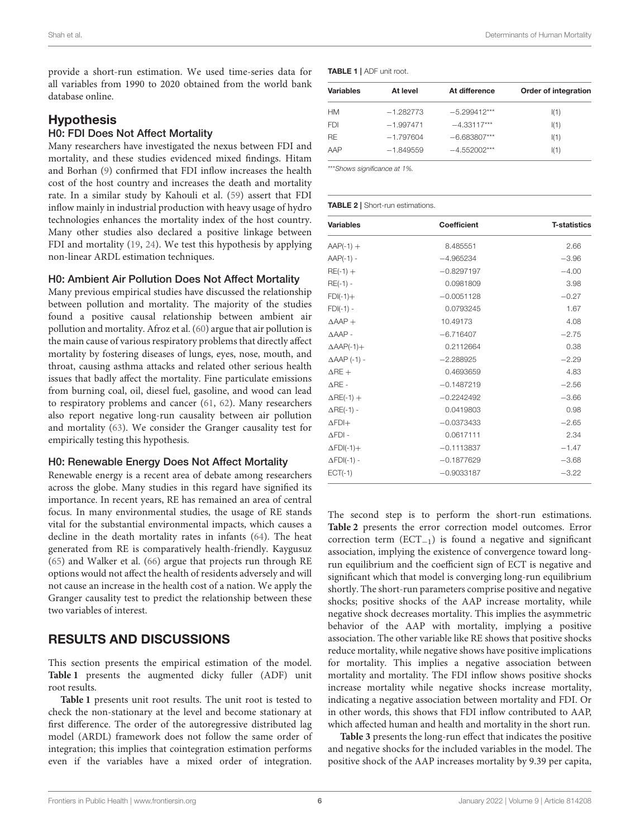provide a short-run estimation. We used time-series data for all variables from 1990 to 2020 obtained from the world bank database online.

## **Hypothesis**

### H0: FDI Does Not Affect Mortality

Many researchers have investigated the nexus between FDI and mortality, and these studies evidenced mixed findings. Hitam and Borhan [\(9\)](#page-8-8) confirmed that FDI inflow increases the health cost of the host country and increases the death and mortality rate. In a similar study by Kahouli et al. [\(59\)](#page-9-17) assert that FDI inflow mainly in industrial production with heavy usage of hydro technologies enhances the mortality index of the host country. Many other studies also declared a positive linkage between FDI and mortality [\(19,](#page-8-18) [24\)](#page-8-23). We test this hypothesis by applying non-linear ARDL estimation techniques.

#### H0: Ambient Air Pollution Does Not Affect Mortality

Many previous empirical studies have discussed the relationship between pollution and mortality. The majority of the studies found a positive causal relationship between ambient air pollution and mortality. Afroz et al. [\(60\)](#page-9-18) argue that air pollution is the main cause of various respiratory problems that directly affect mortality by fostering diseases of lungs, eyes, nose, mouth, and throat, causing asthma attacks and related other serious health issues that badly affect the mortality. Fine particulate emissions from burning coal, oil, diesel fuel, gasoline, and wood can lead to respiratory problems and cancer [\(61,](#page-9-19) [62\)](#page-9-20). Many researchers also report negative long-run causality between air pollution and mortality [\(63\)](#page-9-21). We consider the Granger causality test for empirically testing this hypothesis.

### H0: Renewable Energy Does Not Affect Mortality

Renewable energy is a recent area of debate among researchers across the globe. Many studies in this regard have signified its importance. In recent years, RE has remained an area of central focus. In many environmental studies, the usage of RE stands vital for the substantial environmental impacts, which causes a decline in the death mortality rates in infants [\(64\)](#page-9-22). The heat generated from RE is comparatively health-friendly. Kaygusuz [\(65\)](#page-9-23) and Walker et al. [\(66\)](#page-9-24) argue that projects run through RE options would not affect the health of residents adversely and will not cause an increase in the health cost of a nation. We apply the Granger causality test to predict the relationship between these two variables of interest.

## RESULTS AND DISCUSSIONS

This section presents the empirical estimation of the model. **[Table 1](#page-6-0)** presents the augmented dicky fuller (ADF) unit root results.

**[Table 1](#page-6-0)** presents unit root results. The unit root is tested to check the non-stationary at the level and become stationary at first difference. The order of the autoregressive distributed lag model (ARDL) framework does not follow the same order of integration; this implies that cointegration estimation performs even if the variables have a mixed order of integration.

<span id="page-6-0"></span>

| <b>Variables</b> | At level    | At difference  | Order of integration |
|------------------|-------------|----------------|----------------------|
| HМ               | $-1.282773$ | $-5.299412***$ | I(1)                 |
| <b>FDI</b>       | $-1.997471$ | $-4.33117***$  | I(1)                 |
| <b>RF</b>        | $-1.797604$ | $-6.683807***$ | I(1)                 |
| AAP              | $-1.849559$ | $-4.552002***$ | I(1)                 |
|                  |             |                |                      |

\*\*\**Shows significance at 1%.*

#### <span id="page-6-1"></span>TABLE 2 | Short-run estimations.

| <b>Variables</b>       | <b>Coefficient</b> | <b>T-statistics</b> |
|------------------------|--------------------|---------------------|
| $AAP(-1) +$            | 8.485551           | 2.66                |
| $AAP(-1) -$            | $-4.965234$        | $-3.96$             |
| $RE(-1) +$             | $-0.8297197$       | $-4.00$             |
| $RE(-1) -$             | 0.0981809          | 3.98                |
| $FDI(-1)+$             | $-0.0051128$       | $-0.27$             |
| $FDI(-1) -$            | 0.0793245          | 1.67                |
| $\triangle AAP +$      | 10.49173           | 4.08                |
| $\triangle AAP -$      | $-6.716407$        | $-2.75$             |
| $\triangle$ AAP(-1)+   | 0.2112664          | 0.38                |
| $\triangle$ AAP (-1) - | $-2.288925$        | $-2.29$             |
| $\triangle$ RE +       | 0.4693659          | 4.83                |
| $\triangle$ RE -       | $-0.1487219$       | $-2.56$             |
| $\Delta$ RE(-1) +      | $-0.2242492$       | $-3.66$             |
| $\triangle$ RE(-1) -   | 0.0419803          | 0.98                |
| $\Delta$ FDI+          | $-0.0373433$       | $-2.65$             |
| $\Delta$ FDI -         | 0.0617111          | 2.34                |
| $\Delta$ FDI(-1)+      | $-0.1113837$       | $-1.47$             |
| $\Delta$ FDI(-1) -     | $-0.1877629$       | $-3.68$             |
| $ECT(-1)$              | $-0.9033187$       | $-3.22$             |

The second step is to perform the short-run estimations. **[Table 2](#page-6-1)** presents the error correction model outcomes. Error correction term (ECT−1) is found a negative and significant association, implying the existence of convergence toward longrun equilibrium and the coefficient sign of ECT is negative and significant which that model is converging long-run equilibrium shortly. The short-run parameters comprise positive and negative shocks; positive shocks of the AAP increase mortality, while negative shock decreases mortality. This implies the asymmetric behavior of the AAP with mortality, implying a positive association. The other variable like RE shows that positive shocks reduce mortality, while negative shows have positive implications for mortality. This implies a negative association between mortality and mortality. The FDI inflow shows positive shocks increase mortality while negative shocks increase mortality, indicating a negative association between mortality and FDI. Or in other words, this shows that FDI inflow contributed to AAP, which affected human and health and mortality in the short run.

**[Table 3](#page-7-0)** presents the long-run effect that indicates the positive and negative shocks for the included variables in the model. The positive shock of the AAP increases mortality by 9.39 per capita,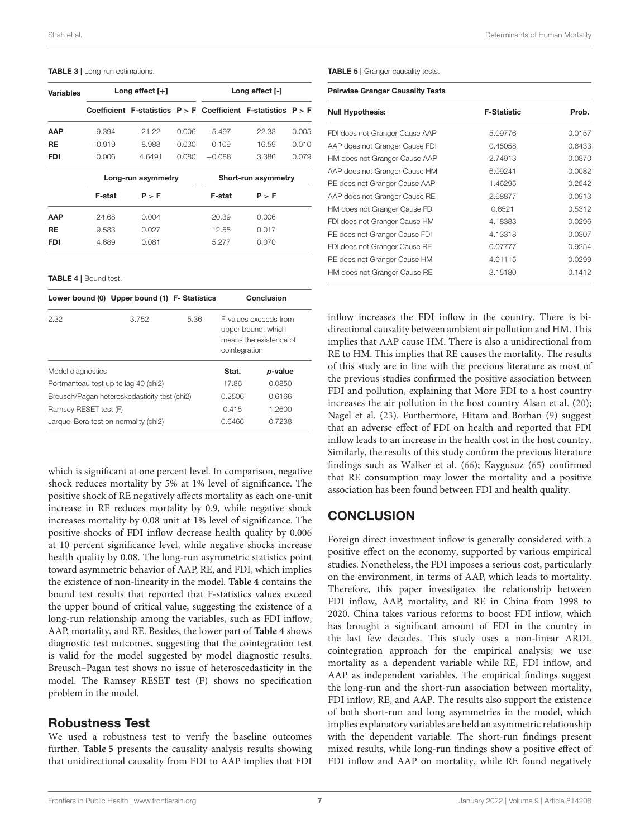#### <span id="page-7-0"></span>TABLE 3 | Long-run estimations.

| <b>Variables</b> | Long effect $[+]$  |        |       | Long effect [-]     |                                                                   |       |
|------------------|--------------------|--------|-------|---------------------|-------------------------------------------------------------------|-------|
|                  |                    |        |       |                     | Coefficient F-statistics $P > F$ Coefficient F-statistics $P > F$ |       |
| AAP              | 9.394              | 21.22  | 0.006 | $-5.497$            | 22.33                                                             | 0.005 |
| RE.              | $-0.919$           | 8.988  | 0.030 | 0.109               | 16.59                                                             | 0.010 |
| <b>FDI</b>       | 0.006              | 4.6491 | 0.080 | $-0.088$            | 3.386                                                             | 0.079 |
|                  | Long-run asymmetry |        |       | Short-run asymmetry |                                                                   |       |
|                  | F-stat             | P > F  |       | F-stat              | P > F                                                             |       |
| <b>AAP</b>       | 24.68              | 0.004  |       | 20.39               | 0.006                                                             |       |
| RE               | 9.583              | 0.027  |       | 12.55               | 0.017                                                             |       |
| <b>FDI</b>       | 4.689              | 0.081  |       | 5.277               | 0.070                                                             |       |

<span id="page-7-1"></span>TABLE 4 | Bound test.

|                                              | Lower bound (0) Upper bound (1) F- Statistics |      |                                                                                        | Conclusion |
|----------------------------------------------|-----------------------------------------------|------|----------------------------------------------------------------------------------------|------------|
| 2.32                                         | 3.752                                         | 5.36 | F-values exceeds from<br>upper bound, which<br>means the existence of<br>cointegration |            |
| Model diagnostics                            |                                               |      | Stat.                                                                                  | p-value    |
| Portmanteau test up to lag 40 (chi2)         |                                               |      | 17.86                                                                                  | 0.0850     |
| Breusch/Pagan heteroskedasticity test (chi2) |                                               |      | 0.2506                                                                                 | 0.6166     |
| Ramsey RESET test (F)                        |                                               |      | 0.415                                                                                  | 1.2600     |
| Jarque-Bera test on normality (chi2)         |                                               |      | 0.6466                                                                                 | 0.7238     |

which is significant at one percent level. In comparison, negative shock reduces mortality by 5% at 1% level of significance. The positive shock of RE negatively affects mortality as each one-unit increase in RE reduces mortality by 0.9, while negative shock increases mortality by 0.08 unit at 1% level of significance. The positive shocks of FDI inflow decrease health quality by 0.006 at 10 percent significance level, while negative shocks increase health quality by 0.08. The long-run asymmetric statistics point toward asymmetric behavior of AAP, RE, and FDI, which implies the existence of non-linearity in the model. **[Table 4](#page-7-1)** contains the bound test results that reported that F-statistics values exceed the upper bound of critical value, suggesting the existence of a long-run relationship among the variables, such as FDI inflow, AAP, mortality, and RE. Besides, the lower part of **[Table 4](#page-7-1)** shows diagnostic test outcomes, suggesting that the cointegration test is valid for the model suggested by model diagnostic results. Breusch–Pagan test shows no issue of heteroscedasticity in the model. The Ramsey RESET test (F) shows no specification problem in the model.

## Robustness Test

We used a robustness test to verify the baseline outcomes further. **[Table 5](#page-7-2)** presents the causality analysis results showing that unidirectional causality from FDI to AAP implies that FDI

<span id="page-7-2"></span>TABLE 5 | Granger causality tests.

#### Pairwise Granger Causality Tests

| <b>Null Hypothesis:</b>        | <b>F-Statistic</b> | Prob.  |
|--------------------------------|--------------------|--------|
| FDI does not Granger Cause AAP | 5.09776            | 0.0157 |
| AAP does not Granger Cause FDI | 0.45058            | 0.6433 |
| HM does not Granger Cause AAP  | 2.74913            | 0.0870 |
| AAP does not Granger Cause HM  | 6.09241            | 0.0082 |
| RE does not Granger Cause AAP  | 1.46295            | 0.2542 |
| AAP does not Granger Cause RE  | 2.68877            | 0.0913 |
| HM does not Granger Cause FDI  | 0.6521             | 0.5312 |
| FDI does not Granger Cause HM  | 4.18383            | 0.0296 |
| RE does not Granger Cause FDI  | 4.13318            | 0.0307 |
| FDI does not Granger Cause RE  | 0.07777            | 0.9254 |
| RE does not Granger Cause HM   | 4.01115            | 0.0299 |
| HM does not Granger Cause RE   | 3.15180            | 0.1412 |

inflow increases the FDI inflow in the country. There is bidirectional causality between ambient air pollution and HM. This implies that AAP cause HM. There is also a unidirectional from RE to HM. This implies that RE causes the mortality. The results of this study are in line with the previous literature as most of the previous studies confirmed the positive association between FDI and pollution, explaining that More FDI to a host country increases the air pollution in the host country Alsan et al. [\(20\)](#page-8-19); Nagel et al. [\(23\)](#page-8-22). Furthermore, Hitam and Borhan [\(9\)](#page-8-8) suggest that an adverse effect of FDI on health and reported that FDI inflow leads to an increase in the health cost in the host country. Similarly, the results of this study confirm the previous literature findings such as Walker et al. [\(66\)](#page-9-24); Kaygusuz [\(65\)](#page-9-23) confirmed that RE consumption may lower the mortality and a positive association has been found between FDI and health quality.

## **CONCLUSION**

Foreign direct investment inflow is generally considered with a positive effect on the economy, supported by various empirical studies. Nonetheless, the FDI imposes a serious cost, particularly on the environment, in terms of AAP, which leads to mortality. Therefore, this paper investigates the relationship between FDI inflow, AAP, mortality, and RE in China from 1998 to 2020. China takes various reforms to boost FDI inflow, which has brought a significant amount of FDI in the country in the last few decades. This study uses a non-linear ARDL cointegration approach for the empirical analysis; we use mortality as a dependent variable while RE, FDI inflow, and AAP as independent variables. The empirical findings suggest the long-run and the short-run association between mortality, FDI inflow, RE, and AAP. The results also support the existence of both short-run and long asymmetries in the model, which implies explanatory variables are held an asymmetric relationship with the dependent variable. The short-run findings present mixed results, while long-run findings show a positive effect of FDI inflow and AAP on mortality, while RE found negatively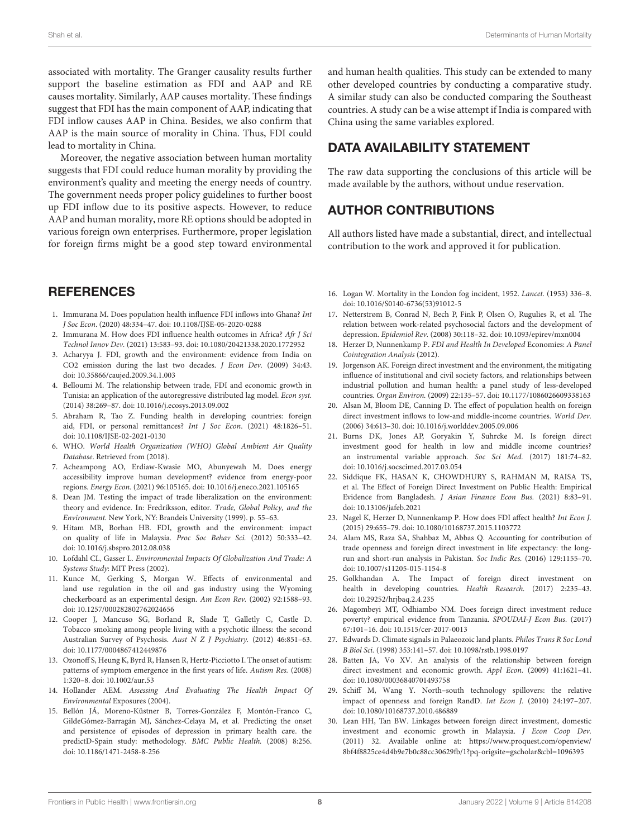associated with mortality. The Granger causality results further support the baseline estimation as FDI and AAP and RE causes mortality. Similarly, AAP causes mortality. These findings suggest that FDI has the main component of AAP, indicating that FDI inflow causes AAP in China. Besides, we also confirm that AAP is the main source of morality in China. Thus, FDI could lead to mortality in China.

Moreover, the negative association between human mortality suggests that FDI could reduce human morality by providing the environment's quality and meeting the energy needs of country. The government needs proper policy guidelines to further boost up FDI inflow due to its positive aspects. However, to reduce AAP and human morality, more RE options should be adopted in various foreign own enterprises. Furthermore, proper legislation for foreign firms might be a good step toward environmental

## **REFERENCES**

- <span id="page-8-0"></span>1. Immurana M. Does population health influence FDI inflows into Ghana? Int J Soc Econ. (2020) 48:334–47. doi: [10.1108/IJSE-05-2020-0288](https://doi.org/10.1108/IJSE-05-2020-0288)
- <span id="page-8-1"></span>2. Immurana M. How does FDI influence health outcomes in Africa? Afr J Sci Technol Innov Dev. (2021) 13:583–93. doi: [10.1080/20421338.2020.1772952](https://doi.org/10.1080/20421338.2020.1772952)
- <span id="page-8-2"></span>3. Acharyya J. FDI, growth and the environment: evidence from India on CO2 emission during the last two decades. J Econ Dev. (2009) 34:43. doi: [10.35866/caujed.2009.34.1.003](https://doi.org/10.35866/caujed.2009.34.1.003)
- <span id="page-8-3"></span>4. Belloumi M. The relationship between trade, FDI and economic growth in Tunisia: an application of the autoregressive distributed lag model. Econ syst. (2014) 38:269–87. doi: [10.1016/j.ecosys.2013.09.002](https://doi.org/10.1016/j.ecosys.2013.09.002)
- <span id="page-8-4"></span>5. Abraham R, Tao Z. Funding health in developing countries: foreign aid, FDI, or personal remittances? Int J Soc Econ. (2021) 48:1826–51. doi: [10.1108/IJSE-02-2021-0130](https://doi.org/10.1108/IJSE-02-2021-0130)
- <span id="page-8-5"></span>6. WHO. World Health Organization (WHO) Global Ambient Air Quality Database. Retrieved from (2018).
- <span id="page-8-6"></span>7. Acheampong AO, Erdiaw-Kwasie MO, Abunyewah M. Does energy accessibility improve human development? evidence from energy-poor regions. Energy Econ. (2021) 96:105165. doi: [10.1016/j.eneco.2021.105165](https://doi.org/10.1016/j.eneco.2021.105165)
- <span id="page-8-7"></span>8. Dean JM. Testing the impact of trade liberalization on the environment: theory and evidence. In: Fredriksson, editor. Trade, Global Policy, and the Environment. New York, NY: Brandeis University (1999). p. 55–63.
- <span id="page-8-8"></span>9. Hitam MB, Borhan HB. FDI, growth and the environment: impact on quality of life in Malaysia. Proc Soc Behav Sci. (2012) 50:333–42. doi: [10.1016/j.sbspro.2012.08.038](https://doi.org/10.1016/j.sbspro.2012.08.038)
- <span id="page-8-9"></span>10. Lofdahl CL, Gasser L. Environmental Impacts Of Globalization And Trade: A Systems Study: MIT Press (2002).
- <span id="page-8-10"></span>11. Kunce M, Gerking S, Morgan W. Effects of environmental and land use regulation in the oil and gas industry using the Wyoming checkerboard as an experimental design. Am Econ Rev. (2002) 92:1588–93. doi: [10.1257/000282802762024656](https://doi.org/10.1257/000282802762024656)
- <span id="page-8-11"></span>12. Cooper J, Mancuso SG, Borland R, Slade T, Galletly C, Castle D. Tobacco smoking among people living with a psychotic illness: the second Australian Survey of Psychosis. Aust N Z J Psychiatry. (2012) 46:851–63. doi: [10.1177/0004867412449876](https://doi.org/10.1177/0004867412449876)
- <span id="page-8-12"></span>13. Ozonoff S, Heung K, Byrd R, Hansen R, Hertz-Picciotto I. The onset of autism: patterns of symptom emergence in the first years of life. Autism Res. (2008) 1:320–8. doi: [10.1002/aur.53](https://doi.org/10.1002/aur.53)
- <span id="page-8-13"></span>14. Hollander AEM. Assessing And Evaluating The Health Impact Of Environmental Exposures (2004).
- <span id="page-8-14"></span>15. Bellón JÁ, Moreno-Küstner B, Torres-González F, Montón-Franco C, GildeGómez-Barragán MJ, Sánchez-Celaya M, et al. Predicting the onset and persistence of episodes of depression in primary health care. the predictD-Spain study: methodology. BMC Public Health. (2008) 8:256. doi: [10.1186/1471-2458-8-256](https://doi.org/10.1186/1471-2458-8-256)

and human health qualities. This study can be extended to many other developed countries by conducting a comparative study. A similar study can also be conducted comparing the Southeast countries. A study can be a wise attempt if India is compared with China using the same variables explored.

## DATA AVAILABILITY STATEMENT

The raw data supporting the conclusions of this article will be made available by the authors, without undue reservation.

## AUTHOR CONTRIBUTIONS

All authors listed have made a substantial, direct, and intellectual contribution to the work and approved it for publication.

- <span id="page-8-15"></span>16. Logan W. Mortality in the London fog incident, 1952. Lancet. (1953) 336–8. doi: [10.1016/S0140-6736\(53\)91012-5](https://doi.org/10.1016/S0140-6736(53)91012-5)
- <span id="page-8-16"></span>17. Netterstrøm B, Conrad N, Bech P, Fink P, Olsen O, Rugulies R, et al. The relation between work-related psychosocial factors and the development of depression. Epidemiol Rev. (2008) 30:118–32. doi: [10.1093/epirev/mxn004](https://doi.org/10.1093/epirev/mxn004)
- <span id="page-8-17"></span>18. Herzer D, Nunnenkamp P. FDI and Health In Developed Economies: A Panel Cointegration Analysis (2012).
- <span id="page-8-18"></span>19. Jorgenson AK. Foreign direct investment and the environment, the mitigating influence of institutional and civil society factors, and relationships between industrial pollution and human health: a panel study of less-developed countries. Organ Environ. (2009) 22:135–57. doi: [10.1177/1086026609338163](https://doi.org/10.1177/1086026609338163)
- <span id="page-8-19"></span>20. Alsan M, Bloom DE, Canning D. The effect of population health on foreign direct investment inflows to low-and middle-income countries. World Dev. (2006) 34:613–30. doi: [10.1016/j.worlddev.2005.09.006](https://doi.org/10.1016/j.worlddev.2005.09.006)
- <span id="page-8-20"></span>21. Burns DK, Jones AP, Goryakin Y, Suhrcke M. Is foreign direct investment good for health in low and middle income countries? an instrumental variable approach. Soc Sci Med. (2017) 181:74–82. doi: [10.1016/j.socscimed.2017.03.054](https://doi.org/10.1016/j.socscimed.2017.03.054)
- <span id="page-8-21"></span>22. Siddique FK, HASAN K, CHOWDHURY S, RAHMAN M, RAISA TS, et al. The Effect of Foreign Direct Investment on Public Health: Empirical Evidence from Bangladesh. J Asian Finance Econ Bus. (2021) 8:83–91. doi: [10.13106/jafeb.2021](https://doi.org/10.13106/jafeb.2021)
- <span id="page-8-22"></span>23. Nagel K, Herzer D, Nunnenkamp P. How does FDI affect health? Int Econ J. (2015) 29:655–79. doi: [10.1080/10168737.2015.1103772](https://doi.org/10.1080/10168737.2015.1103772)
- <span id="page-8-23"></span>24. Alam MS, Raza SA, Shahbaz M, Abbas Q. Accounting for contribution of trade openness and foreign direct investment in life expectancy: the longrun and short-run analysis in Pakistan. Soc Indic Res. (2016) 129:1155–70. doi: [10.1007/s11205-015-1154-8](https://doi.org/10.1007/s11205-015-1154-8)
- <span id="page-8-24"></span>25. Golkhandan A. The Impact of foreign direct investment on health in developing countries. Health Research. (2017) 2:235–43. doi: [10.29252/hrjbaq.2.4.235](https://doi.org/10.29252/hrjbaq.2.4.235)
- <span id="page-8-25"></span>26. Magombeyi MT, Odhiambo NM. Does foreign direct investment reduce poverty? empirical evidence from Tanzania. SPOUDAI-J Econ Bus. (2017) 67:101–16. doi: [10.1515/cer-2017-0013](https://doi.org/10.1515/cer-2017-0013)
- <span id="page-8-26"></span>27. Edwards D. Climate signals in Palaeozoic land plants. Philos Trans R Soc Lond B Biol Sci. (1998) 353:141–57. doi: [10.1098/rstb.1998.0197](https://doi.org/10.1098/rstb.1998.0197)
- <span id="page-8-27"></span>28. Batten JA, Vo XV. An analysis of the relationship between foreign direct investment and economic growth. Appl Econ. (2009) 41:1621–41. doi: [10.1080/00036840701493758](https://doi.org/10.1080/00036840701493758)
- 29. Schiff M, Wang Y. North–south technology spillovers: the relative impact of openness and foreign RandD. Int Econ J. (2010) 24:197–207. doi: [10.1080/10168737.2010.486889](https://doi.org/10.1080/10168737.2010.486889)
- <span id="page-8-28"></span>30. Lean HH, Tan BW. Linkages between foreign direct investment, domestic investment and economic growth in Malaysia. J Econ Coop Dev. (2011) 32. Available online at: [https://www.proquest.com/openview/](https://www.proquest.com/openview/8bf4f8825ce4d4b9e7b0c88cc30629fb/1?pq-origsite=gscholar&cbl=1096395) [8bf4f8825ce4d4b9e7b0c88cc30629fb/1?pq-origsite=gscholar&cbl=1096395](https://www.proquest.com/openview/8bf4f8825ce4d4b9e7b0c88cc30629fb/1?pq-origsite=gscholar&cbl=1096395)